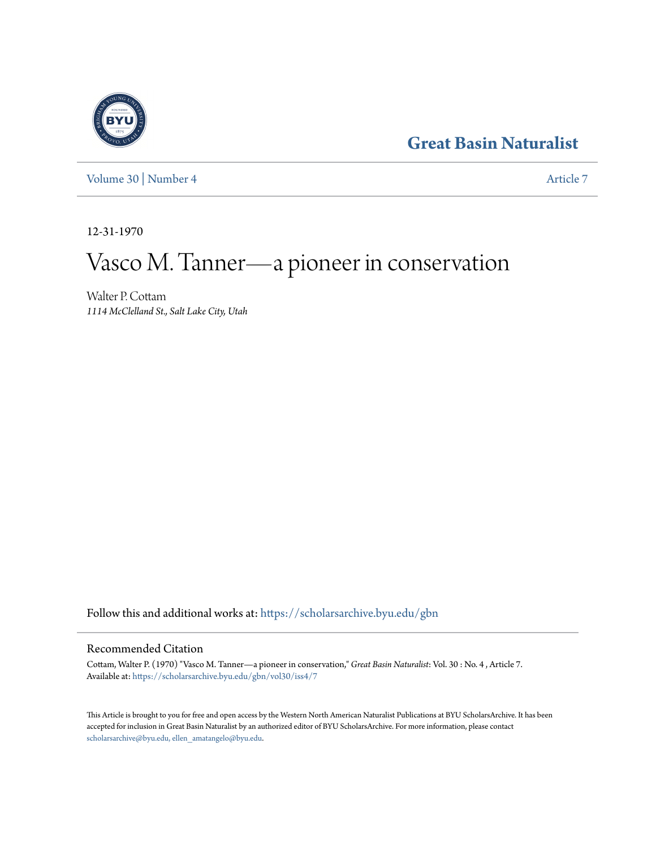# **[Great Basin Naturalist](https://scholarsarchive.byu.edu/gbn?utm_source=scholarsarchive.byu.edu%2Fgbn%2Fvol30%2Fiss4%2F7&utm_medium=PDF&utm_campaign=PDFCoverPages)**



[Volume 30](https://scholarsarchive.byu.edu/gbn/vol30?utm_source=scholarsarchive.byu.edu%2Fgbn%2Fvol30%2Fiss4%2F7&utm_medium=PDF&utm_campaign=PDFCoverPages) | [Number 4](https://scholarsarchive.byu.edu/gbn/vol30/iss4?utm_source=scholarsarchive.byu.edu%2Fgbn%2Fvol30%2Fiss4%2F7&utm_medium=PDF&utm_campaign=PDFCoverPages) [Article 7](https://scholarsarchive.byu.edu/gbn/vol30/iss4/7?utm_source=scholarsarchive.byu.edu%2Fgbn%2Fvol30%2Fiss4%2F7&utm_medium=PDF&utm_campaign=PDFCoverPages)

12-31-1970

# Vasco M. Tanner—a pioneer in conservation

Walter P. Cottam *1114 McClelland St., Salt Lake City, Utah*

Follow this and additional works at: [https://scholarsarchive.byu.edu/gbn](https://scholarsarchive.byu.edu/gbn?utm_source=scholarsarchive.byu.edu%2Fgbn%2Fvol30%2Fiss4%2F7&utm_medium=PDF&utm_campaign=PDFCoverPages)

## Recommended Citation

Cottam, Walter P. (1970) "Vasco M. Tanner—a pioneer in conservation," *Great Basin Naturalist*: Vol. 30 : No. 4 , Article 7. Available at: [https://scholarsarchive.byu.edu/gbn/vol30/iss4/7](https://scholarsarchive.byu.edu/gbn/vol30/iss4/7?utm_source=scholarsarchive.byu.edu%2Fgbn%2Fvol30%2Fiss4%2F7&utm_medium=PDF&utm_campaign=PDFCoverPages)

This Article is brought to you for free and open access by the Western North American Naturalist Publications at BYU ScholarsArchive. It has been accepted for inclusion in Great Basin Naturalist by an authorized editor of BYU ScholarsArchive. For more information, please contact [scholarsarchive@byu.edu, ellen\\_amatangelo@byu.edu.](mailto:scholarsarchive@byu.edu,%20ellen_amatangelo@byu.edu)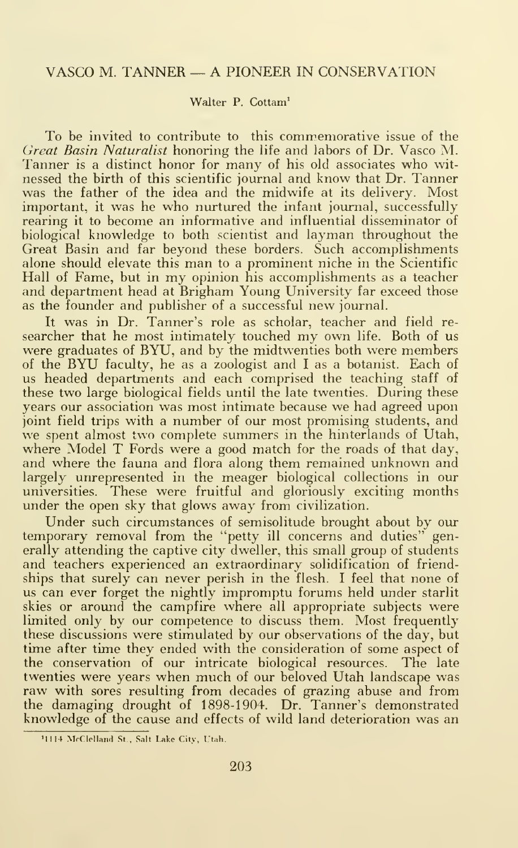### VASCO M. TANNER — A PIONEER IN CONSERVATION

#### Walter P. Cottam'

To be invited to contribute to this commemorative issue of the Great Basin Naturalist honoring the life and labors of Dr. Vasco M. Tanner is a distinct honor for many of his old associates who witnessed the birth of this scientific journal and know that Dr. Tanner was the father of the idea and the midwife at its delivery. Most important, it was he who nurtured the infant journal, successfully rearing it to become an informative and influential disseminator of biological knowledge to both scientist and layman throughout the Great Basin and far beyond these borders. Such accomplishments alone should elevate this man to <sup>a</sup> prominent niche in the Scientific Hall of Fame, but in my opinion his accomplishments as <sup>a</sup> teacher and department head at Brigham Young University far exceed those as the founder and publisher of <sup>a</sup> successful new journal.

It was in Dr. Tanner's role as scholar, teacher and field re searcher that he most intimately touched my own life. Both of us were graduates of BYU, and by the midtwenties both were members of the BYU faculty, he as <sup>a</sup> zoologist and <sup>I</sup>as <sup>a</sup> botanist. Each of us headed departments and each comprised the teaching staff of these two large biological fields until the late twenties. During these years our association was most intimate because we had agreed upon joint field trips with a number of our most promising students, and we spent almost two complete summers in the hinterlands of Utah, where Model T Fords were a good match for the roads of that day, and where the fauna and flora along them remained unknown and largely unrepresented in the meager biological collections in our universities. These were fruitful and gloriously exciting months under the open sky that glows away from civilization.

Under such circumstances of semisolitude brought about by our temporary removal from the "petty ill concerns and duties" generally attending the captive city dweller, this small group of students and teachers experienced an extraordinary solidification of friendships that surely can never perish in the flesh. <sup>I</sup> feel that none of us can ever forget the nightly impromptu forums held under starlit skies or around the campfire where all appropriate subjects were limited only by our competence to discuss them. Most frequently these discussions were stimulated by our observations of the day, but time after time they ended with the consideration of some aspect of the conservation of our intricate biological resources. The late twenties were years when much of our beloved Utah landscape was raw with sores resulting from decades of grazing abuse and from the damaging drought of 1898-1904. Dr. Tanner's demonstrated knowledge of the cause and effects of wild land deterioration was an

<sup>&</sup>lt;sup>1</sup>1114 McClelland St., Salt Lake City, Utah.